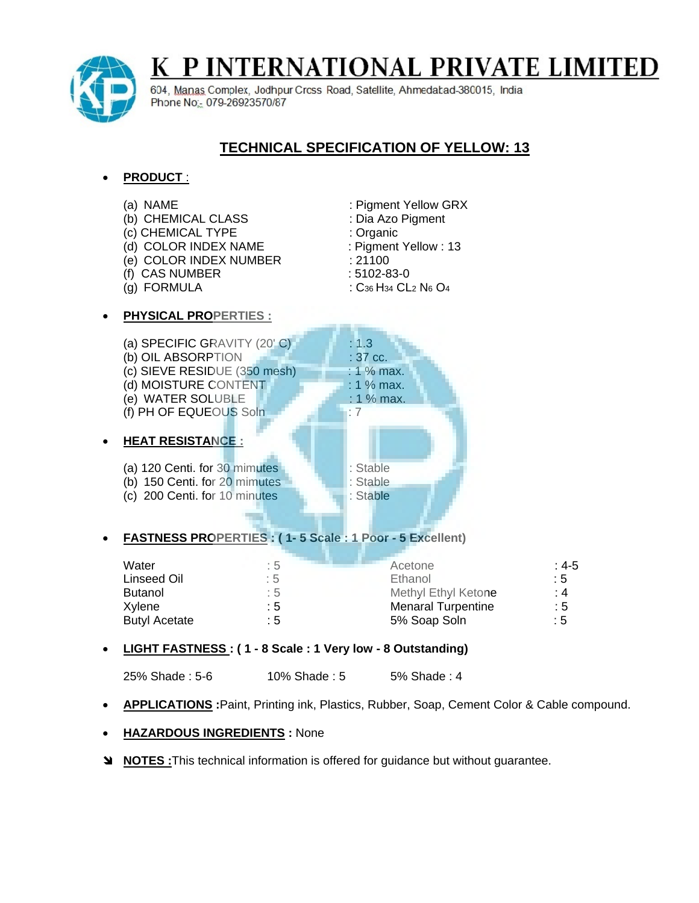

# K P INTERNATIONAL PRIVATE LIMITED

604, Manas Complex, Jodhpur Cross Road, Satellite, Ahmedabad-380015, India Phone No: 079-26923570/87

# **TECHNICAL SPECIFICATION OF YELLOW: 13**

## **PRODUCT** :

(a) NAME : Pigment Yellow GRX (b) CHEMICAL CLASS : Dia Azo Pigment (c) CHEMICAL TYPE : Organic (d) COLOR INDEX NAME : Pigment Yellow : 13 (e) COLOR INDEX NUMBER : 21100 (f) CAS NUMBER : 5102-83-0 (g) FORMULA :  $C_{36}H_{34}$  CL<sub>2</sub> N<sub>6</sub> O<sub>4</sub> **PHYSICAL PROPERTIES :** (a) SPECIFIC GRAVITY  $(20^{\circ}$  C)  $\qquad \qquad$  : 1.3 (b) OIL ABSORPTION  $\qquad \qquad$  : 37 cc. (c) SIEVE RESIDUE  $(350 \text{ mesh})$  : 1 % max. (d) MOISTURE CONTENT  $\blacksquare$  : 1 % max. (e) WATER SOLUBLE **1** 1 % max. (f) PH OF EQUEOUS Soln  $\blacksquare$ : 7

#### **HEAT RESISTANCE :**

(a) 120 Centi. for 30 mimutes : Stable (b) 150 Centi. for 20 mimutes : Stable (c) 200 Centi. for 10 minutes : Stable

## **FASTNESS PROPERTIES : ( 1- 5 Scale : 1 Poor - 5 Excellent)**

| Water<br>Linseed Oil | : 5<br>: 5 | Acetone<br>Ethanol        | : 4-5<br>$\therefore$ 5 |
|----------------------|------------|---------------------------|-------------------------|
| Butanol              | :5         | Methyl Ethyl Ketone       | : 4                     |
| Xylene               | : 5        | <b>Menaral Turpentine</b> | $\therefore$ 5          |
| <b>Butyl Acetate</b> | : 5        | 5% Soap Soln              | :5                      |

#### **LIGHT FASTNESS : ( 1 - 8 Scale : 1 Very low - 8 Outstanding)**

- 25% Shade: 5-6 10% Shade: 5 5% Shade: 4
- **APPLICATIONS :**Paint, Printing ink, Plastics, Rubber, Soap, Cement Color & Cable compound.

#### **HAZARDOUS INGREDIENTS :** None

**NOTES :**This technical information is offered for guidance but without guarantee.